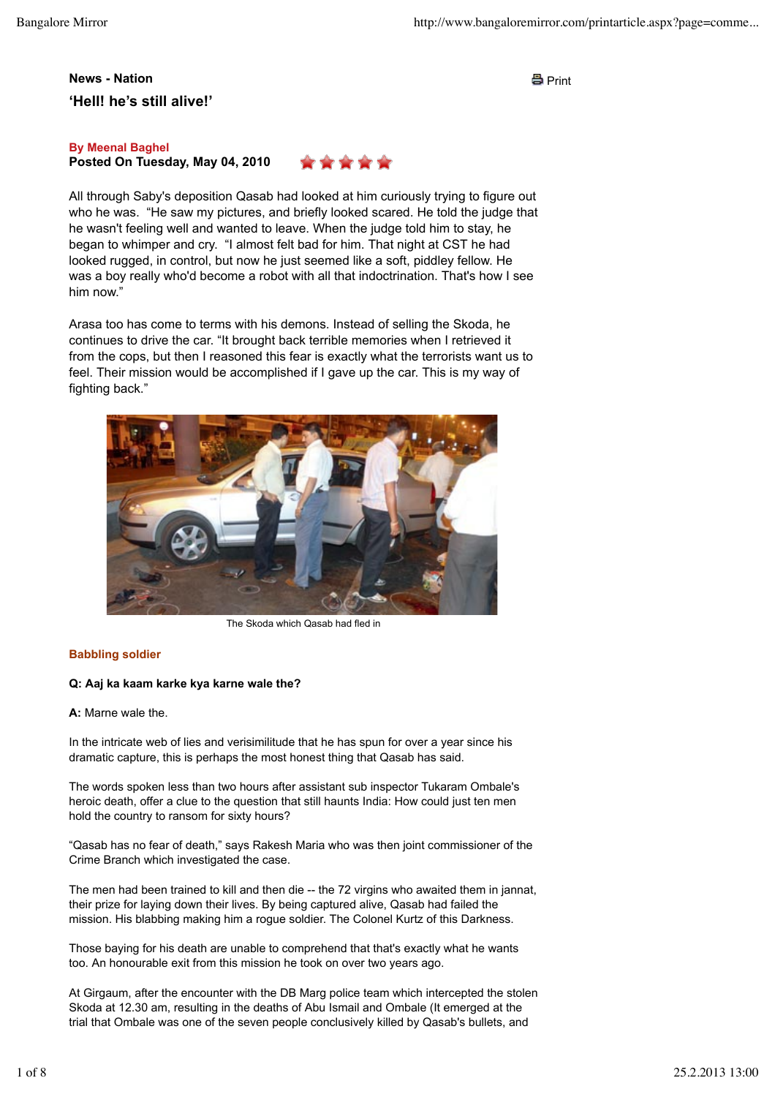# **News - Nation** News - Nation **'Hell! he's still alive!'**

# **Posted On Tuesday, May 04, 2010 By Meenal Baghel**



All through Saby's deposition Qasab had looked at him curiously trying to figure out who he was. "He saw my pictures, and briefly looked scared. He told the judge that he wasn't feeling well and wanted to leave. When the judge told him to stay, he began to whimper and cry. "I almost felt bad for him. That night at CST he had looked rugged, in control, but now he just seemed like a soft, piddley fellow. He was a boy really who'd become a robot with all that indoctrination. That's how I see him now."

Arasa too has come to terms with his demons. Instead of selling the Skoda, he continues to drive the car. "It brought back terrible memories when I retrieved it from the cops, but then I reasoned this fear is exactly what the terrorists want us to feel. Their mission would be accomplished if I gave up the car. This is my way of fighting back."



The Skoda which Qasab had fled in

# **Babbling soldier**

# **Q: Aaj ka kaam karke kya karne wale the?**

**A:** Marne wale the.

In the intricate web of lies and verisimilitude that he has spun for over a year since his dramatic capture, this is perhaps the most honest thing that Qasab has said.

The words spoken less than two hours after assistant sub inspector Tukaram Ombale's heroic death, offer a clue to the question that still haunts India: How could just ten men hold the country to ransom for sixty hours?

"Qasab has no fear of death," says Rakesh Maria who was then joint commissioner of the Crime Branch which investigated the case.

The men had been trained to kill and then die -- the 72 virgins who awaited them in jannat, their prize for laying down their lives. By being captured alive, Qasab had failed the mission. His blabbing making him a rogue soldier. The Colonel Kurtz of this Darkness.

Those baying for his death are unable to comprehend that that's exactly what he wants too. An honourable exit from this mission he took on over two years ago.

At Girgaum, after the encounter with the DB Marg police team which intercepted the stolen Skoda at 12.30 am, resulting in the deaths of Abu Ismail and Ombale (It emerged at the trial that Ombale was one of the seven people conclusively killed by Qasab's bullets, and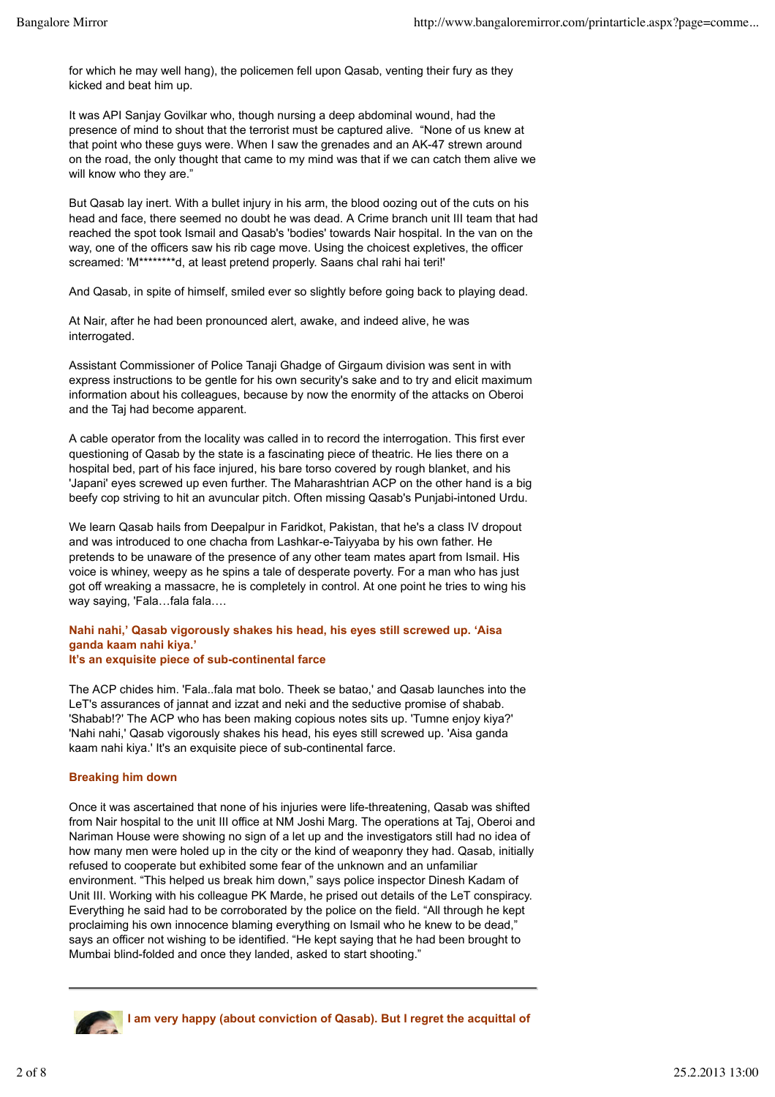for which he may well hang), the policemen fell upon Qasab, venting their fury as they kicked and beat him up.

It was API Sanjay Govilkar who, though nursing a deep abdominal wound, had the presence of mind to shout that the terrorist must be captured alive. "None of us knew at that point who these guys were. When I saw the grenades and an AK-47 strewn around on the road, the only thought that came to my mind was that if we can catch them alive we will know who they are."

But Qasab lay inert. With a bullet injury in his arm, the blood oozing out of the cuts on his head and face, there seemed no doubt he was dead. A Crime branch unit III team that had reached the spot took Ismail and Qasab's 'bodies' towards Nair hospital. In the van on the way, one of the officers saw his rib cage move. Using the choicest expletives, the officer screamed: 'M\*\*\*\*\*\*\*\*d, at least pretend properly. Saans chal rahi hai teri!'

And Qasab, in spite of himself, smiled ever so slightly before going back to playing dead.

At Nair, after he had been pronounced alert, awake, and indeed alive, he was interrogated.

Assistant Commissioner of Police Tanaji Ghadge of Girgaum division was sent in with express instructions to be gentle for his own security's sake and to try and elicit maximum information about his colleagues, because by now the enormity of the attacks on Oberoi and the Taj had become apparent.

A cable operator from the locality was called in to record the interrogation. This first ever questioning of Qasab by the state is a fascinating piece of theatric. He lies there on a hospital bed, part of his face injured, his bare torso covered by rough blanket, and his 'Japani' eyes screwed up even further. The Maharashtrian ACP on the other hand is a big beefy cop striving to hit an avuncular pitch. Often missing Qasab's Punjabi-intoned Urdu.

We learn Qasab hails from Deepalpur in Faridkot, Pakistan, that he's a class IV dropout and was introduced to one chacha from Lashkar-e-Taiyyaba by his own father. He pretends to be unaware of the presence of any other team mates apart from Ismail. His voice is whiney, weepy as he spins a tale of desperate poverty. For a man who has just got off wreaking a massacre, he is completely in control. At one point he tries to wing his way saying, 'Fala...fala fala....

#### **Nahi nahi,' Qasab vigorously shakes his head, his eyes still screwed up. 'Aisa ganda kaam nahi kiya.' It's an exquisite piece of sub-continental farce**

The ACP chides him. 'Fala..fala mat bolo. Theek se batao,' and Qasab launches into the LeT's assurances of jannat and izzat and neki and the seductive promise of shabab. 'Shabab!?' The ACP who has been making copious notes sits up. 'Tumne enjoy kiya?' 'Nahi nahi,' Qasab vigorously shakes his head, his eyes still screwed up. 'Aisa ganda kaam nahi kiya.' It's an exquisite piece of sub-continental farce.

# **Breaking him down**

Once it was ascertained that none of his injuries were life-threatening, Qasab was shifted from Nair hospital to the unit III office at NM Joshi Marg. The operations at Taj, Oberoi and Nariman House were showing no sign of a let up and the investigators still had no idea of how many men were holed up in the city or the kind of weaponry they had. Qasab, initially refused to cooperate but exhibited some fear of the unknown and an unfamiliar environment. "This helped us break him down," says police inspector Dinesh Kadam of Unit III. Working with his colleague PK Marde, he prised out details of the LeT conspiracy. Everything he said had to be corroborated by the police on the field. "All through he kept proclaiming his own innocence blaming everything on Ismail who he knew to be dead," says an officer not wishing to be identified. "He kept saying that he had been brought to Mumbai blind-folded and once they landed, asked to start shooting."



**I am very happy (about conviction of Qasab). But I regret the acquittal of**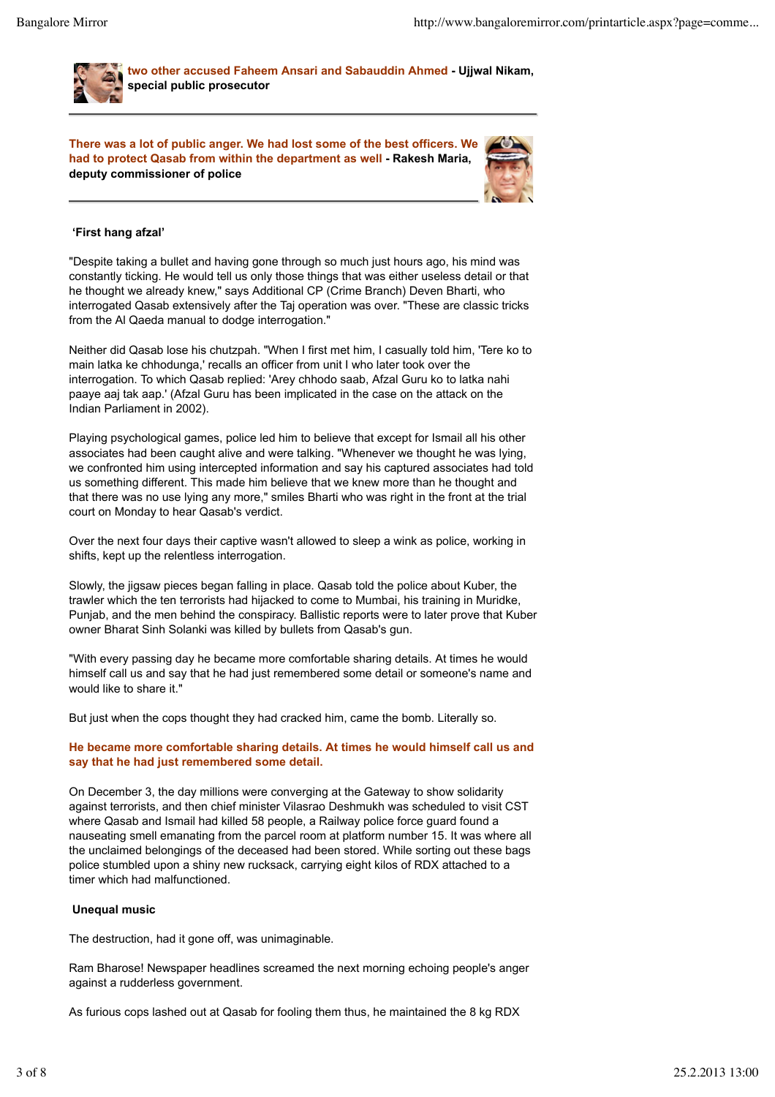

**two other accused Faheem Ansari and Sabauddin Ahmed - Ujjwal Nikam, special public prosecutor**

**There was a lot of public anger. We had lost some of the best officers. We had to protect Qasab from within the department as well - Rakesh Maria, deputy commissioner of police**



# **'First hang afzal'**

"Despite taking a bullet and having gone through so much just hours ago, his mind was constantly ticking. He would tell us only those things that was either useless detail or that he thought we already knew," says Additional CP (Crime Branch) Deven Bharti, who interrogated Qasab extensively after the Taj operation was over. "These are classic tricks from the Al Qaeda manual to dodge interrogation."

Neither did Qasab lose his chutzpah. "When I first met him, I casually told him, 'Tere ko to main latka ke chhodunga,' recalls an officer from unit I who later took over the interrogation. To which Qasab replied: 'Arey chhodo saab, Afzal Guru ko to latka nahi paaye aaj tak aap.' (Afzal Guru has been implicated in the case on the attack on the Indian Parliament in 2002).

Playing psychological games, police led him to believe that except for Ismail all his other associates had been caught alive and were talking. "Whenever we thought he was lying, we confronted him using intercepted information and say his captured associates had told us something different. This made him believe that we knew more than he thought and that there was no use lying any more," smiles Bharti who was right in the front at the trial court on Monday to hear Qasab's verdict.

Over the next four days their captive wasn't allowed to sleep a wink as police, working in shifts, kept up the relentless interrogation.

Slowly, the jigsaw pieces began falling in place. Qasab told the police about Kuber, the trawler which the ten terrorists had hijacked to come to Mumbai, his training in Muridke, Punjab, and the men behind the conspiracy. Ballistic reports were to later prove that Kuber owner Bharat Sinh Solanki was killed by bullets from Qasab's gun.

"With every passing day he became more comfortable sharing details. At times he would himself call us and say that he had just remembered some detail or someone's name and would like to share it."

But just when the cops thought they had cracked him, came the bomb. Literally so.

#### **He became more comfortable sharing details. At times he would himself call us and say that he had just remembered some detail.**

On December 3, the day millions were converging at the Gateway to show solidarity against terrorists, and then chief minister Vilasrao Deshmukh was scheduled to visit CST where Qasab and Ismail had killed 58 people, a Railway police force guard found a nauseating smell emanating from the parcel room at platform number 15. It was where all the unclaimed belongings of the deceased had been stored. While sorting out these bags police stumbled upon a shiny new rucksack, carrying eight kilos of RDX attached to a timer which had malfunctioned.

#### **Unequal music**

The destruction, had it gone off, was unimaginable.

Ram Bharose! Newspaper headlines screamed the next morning echoing people's anger against a rudderless government.

As furious cops lashed out at Qasab for fooling them thus, he maintained the 8 kg RDX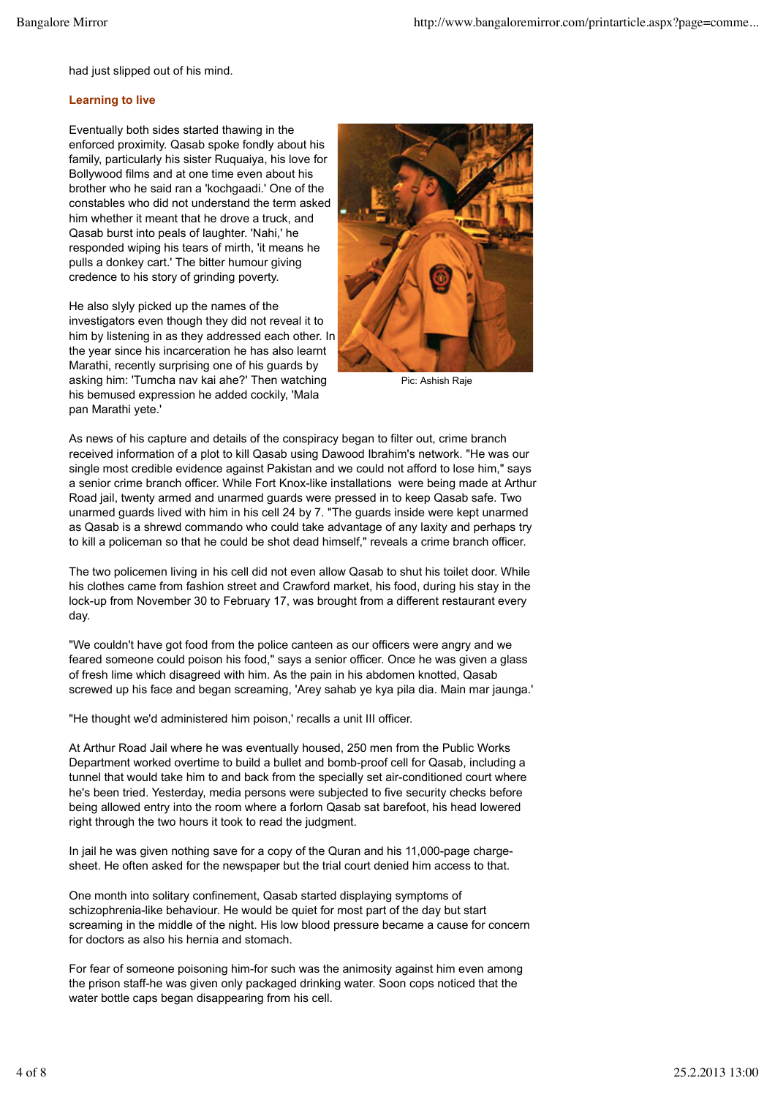had just slipped out of his mind.

#### **Learning to live**

Eventually both sides started thawing in the enforced proximity. Qasab spoke fondly about his family, particularly his sister Ruquaiya, his love for Bollywood films and at one time even about his brother who he said ran a 'kochgaadi.' One of the constables who did not understand the term asked him whether it meant that he drove a truck, and Qasab burst into peals of laughter. 'Nahi,' he responded wiping his tears of mirth, 'it means he pulls a donkey cart.' The bitter humour giving credence to his story of grinding poverty.

He also slyly picked up the names of the investigators even though they did not reveal it to him by listening in as they addressed each other. In the year since his incarceration he has also learnt Marathi, recently surprising one of his guards by asking him: 'Tumcha nav kai ahe?' Then watching his bemused expression he added cockily, 'Mala pan Marathi yete.'



Pic: Ashish Raje

As news of his capture and details of the conspiracy began to filter out, crime branch received information of a plot to kill Qasab using Dawood Ibrahim's network. "He was our single most credible evidence against Pakistan and we could not afford to lose him," says a senior crime branch officer. While Fort Knox-like installations were being made at Arthur Road jail, twenty armed and unarmed guards were pressed in to keep Qasab safe. Two unarmed guards lived with him in his cell 24 by 7. "The guards inside were kept unarmed as Qasab is a shrewd commando who could take advantage of any laxity and perhaps try to kill a policeman so that he could be shot dead himself," reveals a crime branch officer.

The two policemen living in his cell did not even allow Qasab to shut his toilet door. While his clothes came from fashion street and Crawford market, his food, during his stay in the lock-up from November 30 to February 17, was brought from a different restaurant every day.

"We couldn't have got food from the police canteen as our officers were angry and we feared someone could poison his food," says a senior officer. Once he was given a glass of fresh lime which disagreed with him. As the pain in his abdomen knotted, Qasab screwed up his face and began screaming, 'Arey sahab ye kya pila dia. Main mar jaunga.'

"He thought we'd administered him poison,' recalls a unit III officer.

At Arthur Road Jail where he was eventually housed, 250 men from the Public Works Department worked overtime to build a bullet and bomb-proof cell for Qasab, including a tunnel that would take him to and back from the specially set air-conditioned court where he's been tried. Yesterday, media persons were subjected to five security checks before being allowed entry into the room where a forlorn Qasab sat barefoot, his head lowered right through the two hours it took to read the judgment.

In jail he was given nothing save for a copy of the Quran and his 11,000-page chargesheet. He often asked for the newspaper but the trial court denied him access to that.

One month into solitary confinement, Qasab started displaying symptoms of schizophrenia-like behaviour. He would be quiet for most part of the day but start screaming in the middle of the night. His low blood pressure became a cause for concern for doctors as also his hernia and stomach.

For fear of someone poisoning him-for such was the animosity against him even among the prison staff-he was given only packaged drinking water. Soon cops noticed that the water bottle caps began disappearing from his cell.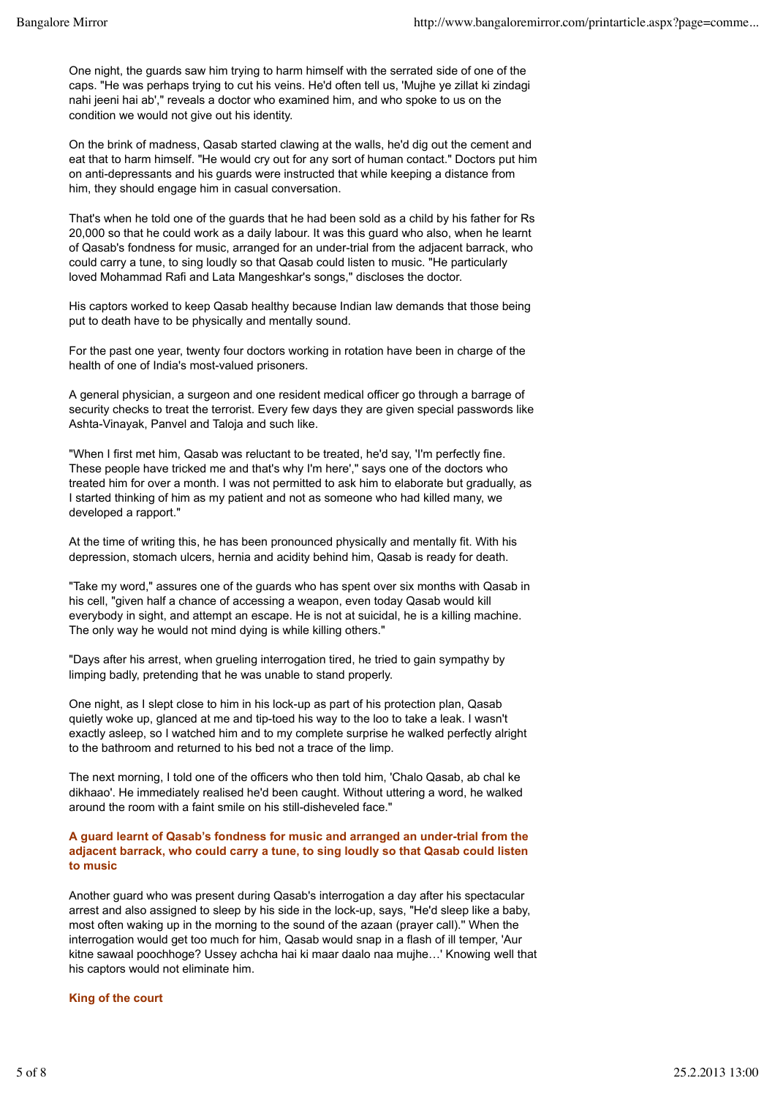One night, the guards saw him trying to harm himself with the serrated side of one of the caps. "He was perhaps trying to cut his veins. He'd often tell us, 'Mujhe ye zillat ki zindagi nahi jeeni hai ab'," reveals a doctor who examined him, and who spoke to us on the condition we would not give out his identity.

On the brink of madness, Qasab started clawing at the walls, he'd dig out the cement and eat that to harm himself. "He would cry out for any sort of human contact." Doctors put him on anti-depressants and his guards were instructed that while keeping a distance from him, they should engage him in casual conversation.

That's when he told one of the guards that he had been sold as a child by his father for Rs 20,000 so that he could work as a daily labour. It was this guard who also, when he learnt of Qasab's fondness for music, arranged for an under-trial from the adjacent barrack, who could carry a tune, to sing loudly so that Qasab could listen to music. "He particularly loved Mohammad Rafi and Lata Mangeshkar's songs," discloses the doctor.

His captors worked to keep Qasab healthy because Indian law demands that those being put to death have to be physically and mentally sound.

For the past one year, twenty four doctors working in rotation have been in charge of the health of one of India's most-valued prisoners.

A general physician, a surgeon and one resident medical officer go through a barrage of security checks to treat the terrorist. Every few days they are given special passwords like Ashta-Vinayak, Panvel and Taloja and such like.

"When I first met him, Qasab was reluctant to be treated, he'd say, 'I'm perfectly fine. These people have tricked me and that's why I'm here'," says one of the doctors who treated him for over a month. I was not permitted to ask him to elaborate but gradually, as I started thinking of him as my patient and not as someone who had killed many, we developed a rapport."

At the time of writing this, he has been pronounced physically and mentally fit. With his depression, stomach ulcers, hernia and acidity behind him, Qasab is ready for death.

"Take my word," assures one of the guards who has spent over six months with Qasab in his cell, "given half a chance of accessing a weapon, even today Qasab would kill everybody in sight, and attempt an escape. He is not at suicidal, he is a killing machine. The only way he would not mind dying is while killing others."

"Days after his arrest, when grueling interrogation tired, he tried to gain sympathy by limping badly, pretending that he was unable to stand properly.

One night, as I slept close to him in his lock-up as part of his protection plan, Qasab quietly woke up, glanced at me and tip-toed his way to the loo to take a leak. I wasn't exactly asleep, so I watched him and to my complete surprise he walked perfectly alright to the bathroom and returned to his bed not a trace of the limp.

The next morning, I told one of the officers who then told him, 'Chalo Qasab, ab chal ke dikhaao'. He immediately realised he'd been caught. Without uttering a word, he walked around the room with a faint smile on his still-disheveled face."

#### **A guard learnt of Qasab's fondness for music and arranged an under-trial from the adjacent barrack, who could carry a tune, to sing loudly so that Qasab could listen to music**

Another guard who was present during Qasab's interrogation a day after his spectacular arrest and also assigned to sleep by his side in the lock-up, says, "He'd sleep like a baby, most often waking up in the morning to the sound of the azaan (prayer call).'' When the interrogation would get too much for him, Qasab would snap in a flash of ill temper, 'Aur kitne sawaal poochhoge? Ussey achcha hai ki maar daalo naa mujhe…' Knowing well that his captors would not eliminate him.

#### **King of the court**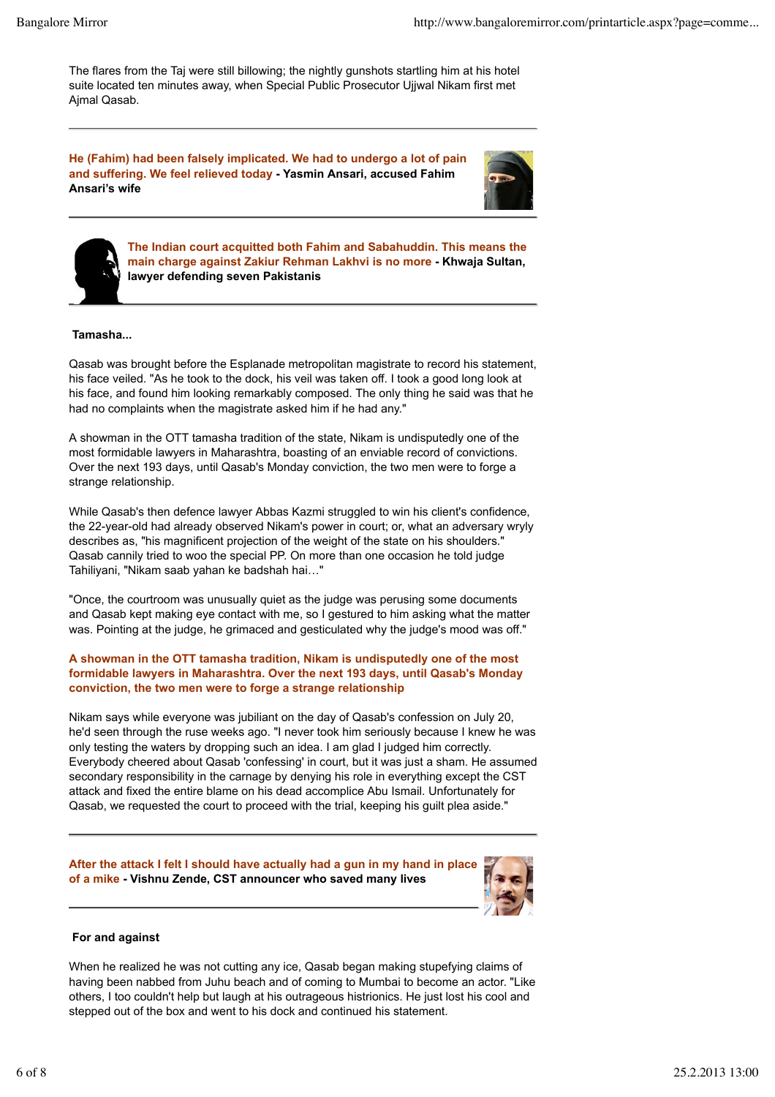The flares from the Taj were still billowing; the nightly gunshots startling him at his hotel suite located ten minutes away, when Special Public Prosecutor Ujjwal Nikam first met Ajmal Qasab.

**He (Fahim) had been falsely implicated. We had to undergo a lot of pain and suffering. We feel relieved today - Yasmin Ansari, accused Fahim Ansari's wife**





**The Indian court acquitted both Fahim and Sabahuddin. This means the main charge against Zakiur Rehman Lakhvi is no more - Khwaja Sultan, lawyer defending seven Pakistanis**

# **Tamasha...**

Qasab was brought before the Esplanade metropolitan magistrate to record his statement, his face veiled. "As he took to the dock, his veil was taken off. I took a good long look at his face, and found him looking remarkably composed. The only thing he said was that he had no complaints when the magistrate asked him if he had any."

A showman in the OTT tamasha tradition of the state, Nikam is undisputedly one of the most formidable lawyers in Maharashtra, boasting of an enviable record of convictions. Over the next 193 days, until Qasab's Monday conviction, the two men were to forge a strange relationship.

While Qasab's then defence lawyer Abbas Kazmi struggled to win his client's confidence, the 22-year-old had already observed Nikam's power in court; or, what an adversary wryly describes as, "his magnificent projection of the weight of the state on his shoulders." Qasab cannily tried to woo the special PP. On more than one occasion he told judge Tahiliyani, "Nikam saab yahan ke badshah hai…"

"Once, the courtroom was unusually quiet as the judge was perusing some documents and Qasab kept making eye contact with me, so I gestured to him asking what the matter was. Pointing at the judge, he grimaced and gesticulated why the judge's mood was off."

# **A showman in the OTT tamasha tradition, Nikam is undisputedly one of the most formidable lawyers in Maharashtra. Over the next 193 days, until Qasab's Monday conviction, the two men were to forge a strange relationship**

Nikam says while everyone was jubiliant on the day of Qasab's confession on July 20, he'd seen through the ruse weeks ago. "I never took him seriously because I knew he was only testing the waters by dropping such an idea. I am glad I judged him correctly. Everybody cheered about Qasab 'confessing' in court, but it was just a sham. He assumed secondary responsibility in the carnage by denying his role in everything except the CST attack and fixed the entire blame on his dead accomplice Abu Ismail. Unfortunately for Qasab, we requested the court to proceed with the trial, keeping his guilt plea aside."

#### **After the attack I felt I should have actually had a gun in my hand in place of a mike - Vishnu Zende, CST announcer who saved many lives**



#### **For and against**

When he realized he was not cutting any ice, Qasab began making stupefying claims of having been nabbed from Juhu beach and of coming to Mumbai to become an actor. "Like others, I too couldn't help but laugh at his outrageous histrionics. He just lost his cool and stepped out of the box and went to his dock and continued his statement.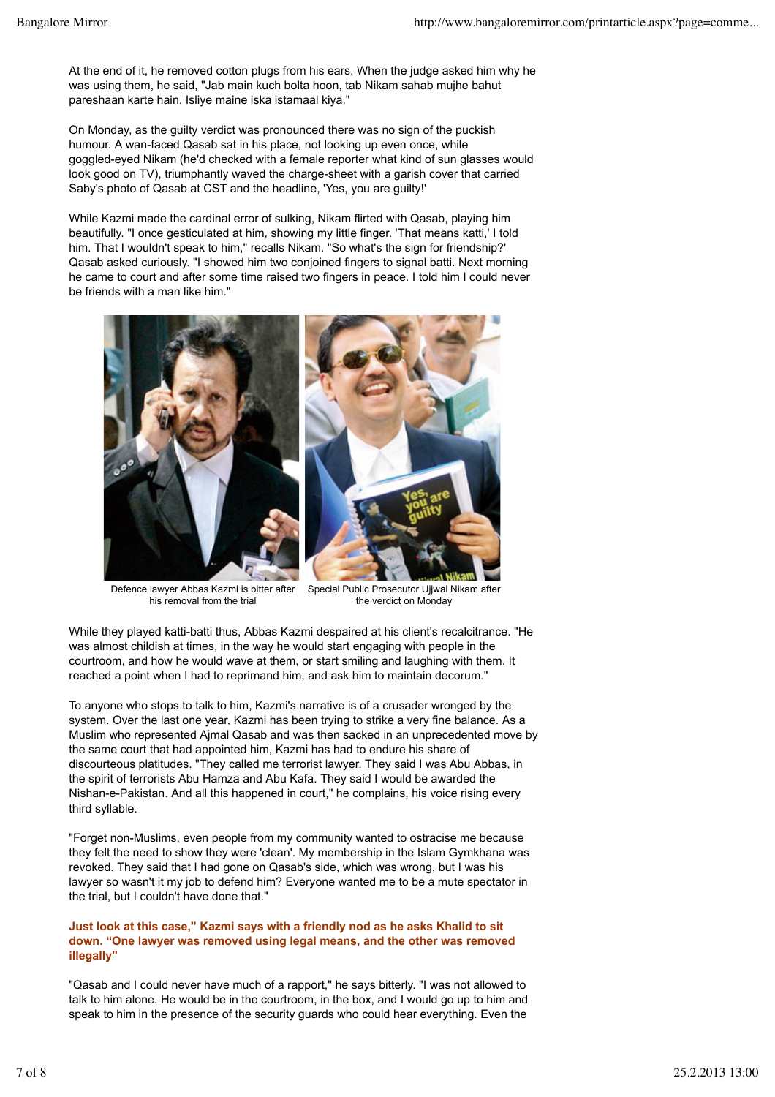At the end of it, he removed cotton plugs from his ears. When the judge asked him why he was using them, he said, "Jab main kuch bolta hoon, tab Nikam sahab mujhe bahut pareshaan karte hain. Isliye maine iska istamaal kiya."

On Monday, as the guilty verdict was pronounced there was no sign of the puckish humour. A wan-faced Qasab sat in his place, not looking up even once, while goggled-eyed Nikam (he'd checked with a female reporter what kind of sun glasses would look good on TV), triumphantly waved the charge-sheet with a garish cover that carried Saby's photo of Qasab at CST and the headline, 'Yes, you are guilty!'

While Kazmi made the cardinal error of sulking, Nikam flirted with Qasab, playing him beautifully. "I once gesticulated at him, showing my little finger. 'That means katti,' I told him. That I wouldn't speak to him," recalls Nikam. "So what's the sign for friendship?' Qasab asked curiously. "I showed him two conjoined fingers to signal batti. Next morning he came to court and after some time raised two fingers in peace. I told him I could never be friends with a man like him."



Defence lawyer Abbas Kazmi is bitter after his removal from the trial

Special Public Prosecutor Ujjwal Nikam after the verdict on Monday

While they played katti-batti thus, Abbas Kazmi despaired at his client's recalcitrance. "He was almost childish at times, in the way he would start engaging with people in the courtroom, and how he would wave at them, or start smiling and laughing with them. It reached a point when I had to reprimand him, and ask him to maintain decorum."

To anyone who stops to talk to him, Kazmi's narrative is of a crusader wronged by the system. Over the last one year, Kazmi has been trying to strike a very fine balance. As a Muslim who represented Ajmal Qasab and was then sacked in an unprecedented move by the same court that had appointed him, Kazmi has had to endure his share of discourteous platitudes. "They called me terrorist lawyer. They said I was Abu Abbas, in the spirit of terrorists Abu Hamza and Abu Kafa. They said I would be awarded the Nishan-e-Pakistan. And all this happened in court," he complains, his voice rising every third syllable.

"Forget non-Muslims, even people from my community wanted to ostracise me because they felt the need to show they were 'clean'. My membership in the Islam Gymkhana was revoked. They said that I had gone on Qasab's side, which was wrong, but I was his lawyer so wasn't it my job to defend him? Everyone wanted me to be a mute spectator in the trial, but I couldn't have done that."

#### **Just look at this case," Kazmi says with a friendly nod as he asks Khalid to sit down. "One lawyer was removed using legal means, and the other was removed illegally"**

"Qasab and I could never have much of a rapport," he says bitterly. "I was not allowed to talk to him alone. He would be in the courtroom, in the box, and I would go up to him and speak to him in the presence of the security guards who could hear everything. Even the